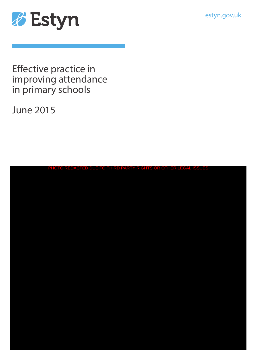estyn.gov.uk



Effective practice in improving attendance in primary schools

June 2015

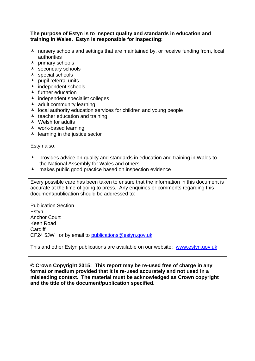#### **The purpose of Estyn is to inspect quality and standards in education and training in Wales. Estyn is responsible for inspecting:**

- $\lambda$  nursery schools and settings that are maintained by, or receive funding from, local authorities
- $\overline{\phantom{a}}$  primary schools
- secondary schools
- $\triangle$  special schools
- $\lambda$  pupil referral units
- $\overline{\phantom{a}}$  independent schools
- $\triangle$  further education
- $\lambda$  independent specialist colleges
- $\triangle$  adult community learning
- $\lambda$  local authority education services for children and young people
- $\triangle$  teacher education and training
- $\triangle$  Welsh for adults
- work-based learning
- $\triangle$  learning in the justice sector

Estyn also:

- A provides advice on quality and standards in education and training in Wales to the National Assembly for Wales and others
- A makes public good practice based on inspection evidence

Every possible care has been taken to ensure that the information in this document is accurate at the time of going to press. Any enquiries or comments regarding this document/publication should be addressed to:

Publication Section Estyn Anchor Court Keen Road **Cardiff** CF24 5JW or by email to [publications@estyn.gov.uk](mailto:publications@estyn.gsi.gov.uk)

This and other Estyn publications are available on our website: [www.estyn.gov.uk](http://www.estyn.gov.uk/)

**© Crown Copyright 2015: This report may be re-used free of charge in any format or medium provided that it is re-used accurately and not used in a misleading context. The material must be acknowledged as Crown copyright and the title of the document/publication specified.**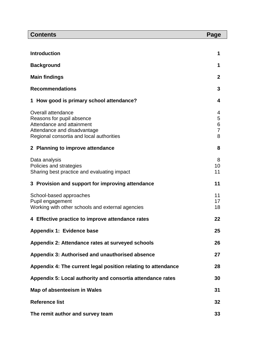| <b>Contents</b>                                                                                                                                         | Page                               |
|---------------------------------------------------------------------------------------------------------------------------------------------------------|------------------------------------|
|                                                                                                                                                         |                                    |
| <b>Introduction</b>                                                                                                                                     | 1                                  |
| <b>Background</b>                                                                                                                                       | 1                                  |
| <b>Main findings</b>                                                                                                                                    | $\mathbf{2}$                       |
| <b>Recommendations</b>                                                                                                                                  | 3                                  |
| How good is primary school attendance?                                                                                                                  | 4                                  |
| Overall attendance<br>Reasons for pupil absence<br>Attendance and attainment<br>Attendance and disadvantage<br>Regional consortia and local authorities | 4<br>5<br>6<br>$\overline{7}$<br>8 |
| 2 Planning to improve attendance                                                                                                                        | 8                                  |
| Data analysis<br>Policies and strategies<br>Sharing best practice and evaluating impact                                                                 | 8<br>10<br>11                      |
| 3 Provision and support for improving attendance                                                                                                        | 11                                 |
| School-based approaches<br>Pupil engagement<br>Working with other schools and external agencies                                                         | 11<br>17<br>18                     |
| Effective practice to improve attendance rates<br>4                                                                                                     | 22                                 |
| Appendix 1: Evidence base                                                                                                                               | 25                                 |
| Appendix 2: Attendance rates at surveyed schools                                                                                                        | 26                                 |
| Appendix 3: Authorised and unauthorised absence                                                                                                         | 27                                 |
| Appendix 4: The current legal position relating to attendance                                                                                           | 28                                 |
| Appendix 5: Local authority and consortia attendance rates                                                                                              | 30                                 |
| Map of absenteeism in Wales                                                                                                                             | 31                                 |
| <b>Reference list</b>                                                                                                                                   | 32                                 |
| The remit author and survey team                                                                                                                        | 33                                 |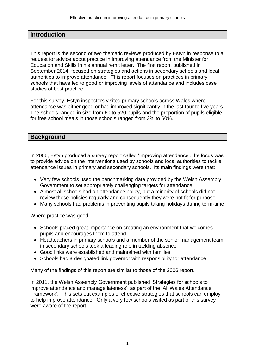### **Introduction**

This report is the second of two thematic reviews produced by Estyn in response to a request for advice about practice in improving attendance from the Minister for Education and Skills in his annual remit letter. The first report, published in September 2014, focused on strategies and actions in secondary schools and local authorities to improve attendance. This report focuses on practices in primary schools that have led to good or improving levels of attendance and includes case studies of best practice.

For this survey, Estyn inspectors visited primary schools across Wales where attendance was either good or had improved significantly in the last four to five years. The schools ranged in size from 60 to 520 pupils and the proportion of pupils eligible for free school meals in those schools ranged from 3% to 60%.

### **Background**

In 2006, Estyn produced a survey report called 'Improving attendance'. Its focus was to provide advice on the interventions used by schools and local authorities to tackle attendance issues in primary and secondary schools. Its main findings were that:

- Very few schools used the benchmarking data provided by the Welsh Assembly Government to set appropriately challenging targets for attendance
- Almost all schools had an attendance policy, but a minority of schools did not review these policies regularly and consequently they were not fit for purpose
- Many schools had problems in preventing pupils taking holidays during term-time

Where practice was good:

- Schools placed great importance on creating an environment that welcomes pupils and encourages them to attend
- Headteachers in primary schools and a member of the senior management team in secondary schools took a leading role in tackling absence
- Good links were established and maintained with families
- Schools had a designated link governor with responsibility for attendance

Many of the findings of this report are similar to those of the 2006 report.

In 2011, the Welsh Assembly Government published 'Strategies for schools to improve attendance and manage lateness', as part of the 'All Wales Attendance Framework'. This sets out examples of effective strategies that schools can employ to help improve attendance. Only a very few schools visited as part of this survey were aware of the report.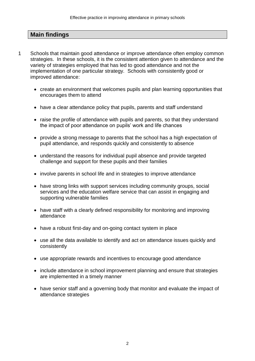# **Main findings**

- 1 Schools that maintain good attendance or improve attendance often employ common strategies. In these schools, it is the consistent attention given to attendance and the variety of strategies employed that has led to good attendance and not the implementation of one particular strategy. Schools with consistently good or improved attendance:
	- create an environment that welcomes pupils and plan learning opportunities that encourages them to attend
	- have a clear attendance policy that pupils, parents and staff understand
	- raise the profile of attendance with pupils and parents, so that they understand the impact of poor attendance on pupils' work and life chances
	- provide a strong message to parents that the school has a high expectation of pupil attendance, and responds quickly and consistently to absence
	- understand the reasons for individual pupil absence and provide targeted challenge and support for these pupils and their families
	- involve parents in school life and in strategies to improve attendance
	- have strong links with support services including community groups, social services and the education welfare service that can assist in engaging and supporting vulnerable families
	- have staff with a clearly defined responsibility for monitoring and improving attendance
	- have a robust first-day and on-going contact system in place
	- use all the data available to identify and act on attendance issues quickly and consistently
	- use appropriate rewards and incentives to encourage good attendance
	- include attendance in school improvement planning and ensure that strategies are implemented in a timely manner
	- have senior staff and a governing body that monitor and evaluate the impact of attendance strategies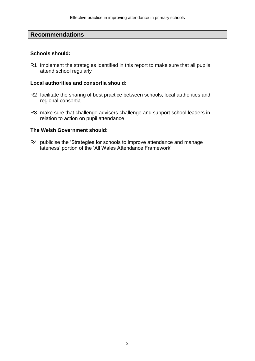### **Recommendations**

#### **Schools should:**

R1 implement the strategies identified in this report to make sure that all pupils attend school regularly

#### **Local authorities and consortia should:**

- R2 facilitate the sharing of best practice between schools, local authorities and regional consortia
- R3 make sure that challenge advisers challenge and support school leaders in relation to action on pupil attendance

#### **The Welsh Government should:**

R4 publicise the 'Strategies for schools to improve attendance and manage lateness' portion of the 'All Wales Attendance Framework'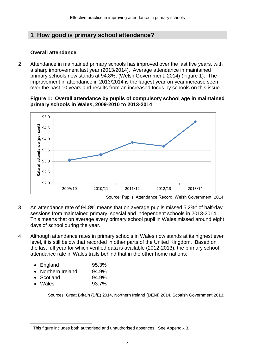# **1 How good is primary school attendance?**

### **Overall attendance**

2 Attendance in maintained primary schools has improved over the last five years, with a sharp improvement last year (2013/2014). Average attendance in maintained primary schools now stands at 94.8%, (Welsh Government, 2014) (Figure 1). The improvement in attendance in 2013/2014 is the largest year-on-year increase seen over the past 10 years and results from an increased focus by schools on this issue.





Source: Pupils' Attendance Record, Welsh Government, 2014.

- 3 An attendance rate of 94.8% means that on average pupils missed 5.2%<sup>1</sup> of half-day sessions from maintained primary, special and independent schools in 2013-2014. This means that on average every primary school pupil in Wales missed around eight days of school during the year.
- 4 Although attendance rates in primary schools in Wales now stands at its highest ever level, it is still below that recorded in other parts of the United Kingdom. Based on the last full year for which verified data is available (2012-2013), the primary school attendance rate in Wales trails behind that in the other home nations:

| $\bullet$ | England          | 95.3% |
|-----------|------------------|-------|
| $\bullet$ | Northern Ireland | 94.9% |

- Scotland 94.9%
- Wales 93.7%

 $\overline{a}$ 

Sources: Great Britain (DfE) 2014, Northern Ireland (DENI) 2014, Scottish Government 2013.

 $1$  This figure includes both authorised and unauthorised absences. See Appendix 3.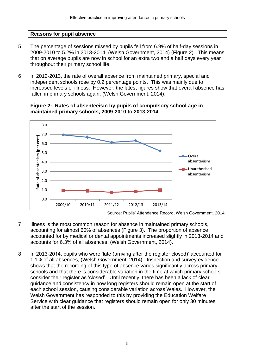### **Reasons for pupil absence**

- 5 The percentage of sessions missed by pupils fell from 6.9% of half-day sessions in 2009-2010 to 5.2% in 2013-2014, (Welsh Government, 2014) (Figure 2). This means that on average pupils are now in school for an extra two and a half days every year throughout their primary school life.
- 6 In 2012-2013, the rate of overall absence from maintained primary, special and independent schools rose by 0.2 percentage points. This was mainly due to increased levels of illness. However, the latest figures show that overall absence has fallen in primary schools again, (Welsh Government, 2014).

#### **Figure 2: Rates of absenteeism by pupils of compulsory school age in maintained primary schools, 2009-2010 to 2013-2014**



- 7 Illness is the most common reason for absence in maintained primary schools, accounting for almost 60% of absences (Figure 3). The proportion of absence accounted for by medical or dental appointments increased slightly in 2013-2014 and accounts for 6.3% of all absences, (Welsh Government, 2014).
- 8 In 2013-2014, pupils who were 'late (arriving after the register closed)' accounted for 1.1% of all absences, (Welsh Government, 2014). Inspection and survey evidence shows that the recording of this type of absence varies significantly across primary schools and that there is considerable variation in the time at which primary schools consider their register as 'closed'. Until recently, there has been a lack of clear guidance and consistency in how long registers should remain open at the start of each school session, causing considerable variation across Wales. However, the Welsh Government has responded to this by providing the Education Welfare Service with clear guidance that registers should remain open for only 30 minutes after the start of the session.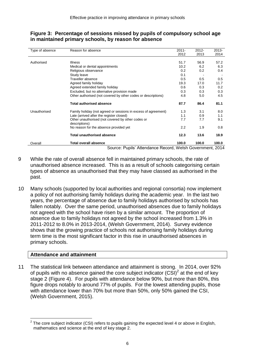| Type of absence | Reason for absence                                                 | $2011 -$ | $2012 -$ | $2013 -$ |
|-----------------|--------------------------------------------------------------------|----------|----------|----------|
|                 |                                                                    | 2012     | 2013     | 2014     |
| Authorised      | <b>Illness</b>                                                     | 51.7     | 56.9     | 57.2     |
|                 | Medical or dental appointments                                     | 10.2     | 6.2      | 6.3      |
|                 | Religious observance                                               | 0.2      | 0.2      | 0.4      |
|                 | Study leave                                                        | 0.1      |          |          |
|                 | Traveller absence                                                  | 0.5      | 0.5      | 0.5      |
|                 | Agreed family holiday                                              | 19.3     | 17.0     | 11.7     |
|                 | Agreed extended family holiday                                     | 0.6      | 0.3      | 0.2      |
|                 | Excluded, but no alternative provision made                        | 0.3      | 0.3      | 0.3      |
|                 | Other authorised (not covered by other codes or descriptions)      | 4.8      | 5.0      | 4.5      |
|                 | <b>Total authorised absence</b>                                    | 87.7     | 86.4     | 81.1     |
| Unauthorised    | Family holiday (not agreed or sessions in excess of agreement)     | 1.3      | 3.1      | 8.0      |
|                 | Late (arrived after the register closed)                           | 1.1      | 0.9      | 1.1      |
|                 | Other unauthorised (not covered by other codes or<br>descriptions) | 7.7      | 7.7      | 9.1      |
|                 | No reason for the absence provided yet                             | 2.2      | 1.9      | 0.8      |
|                 | <b>Total unauthorised absence</b>                                  | 12.3     | 13.6     | 18.9     |
| Overall         | <b>Total overall absence</b>                                       | 100.0    | 100.0    | 100.0    |
|                 | Source: Pupils' Attendance Record, Welsh Government, 2014          |          |          |          |

### **Figure 3: Percentage of sessions missed by pupils of compulsory school age in maintained primary schools, by reason for absence**

9 While the rate of overall absence fell in maintained primary schools, the rate of unauthorised absence increased. This is as a result of schools categorising certain types of absence as unauthorised that they may have classed as authorised in the past.

10 Many schools (supported by local authorities and regional consortia) now implement a policy of not authorising family holidays during the academic year. In the last two years, the percentage of absence due to family holidays authorised by schools has fallen notably. Over the same period, unauthorised absences due to family holidays not agreed with the school have risen by a similar amount. The proportion of absence due to family holidays not agreed by the school increased from 1.3% in 2011-2012 to 8.0% in 2013-2014, (Welsh Government, 2014). Survey evidence shows that the growing practice of schools not authorising family holidays during term time is the most significant factor in this rise in unauthorised absences in primary schools.

### **Attendance and attainment**

11 The statistical link between attendance and attainment is strong. In 2014, over 92% of pupils with no absence gained the core subject indicator  $(CSI)^2$  at the end of key stage 2 (Figure 4). For pupils with attendance below 90%, but more than 80%, this figure drops notably to around 77% of pupils. For the lowest attending pupils, those with attendance lower than 70% but more than 50%, only 50% gained the CSI, (Welsh Government, 2015).

 $\overline{a}$  $2$  The core subject indicator (CSI) refers to pupils gaining the expected level 4 or above in English, mathematics and science at the end of key stage 2.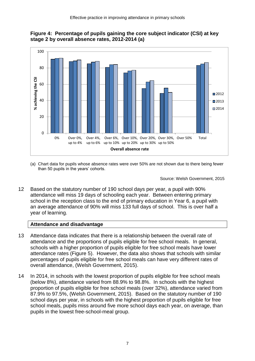



(a) Chart data for pupils whose absence rates were over 50% are not shown due to there being fewer than 50 pupils in the years' cohorts.

Source: Welsh Government, 2015

12 Based on the statutory number of 190 school days per year, a pupil with 90% attendance will miss 19 days of schooling each year. Between entering primary school in the reception class to the end of primary education in Year 6, a pupil with an average attendance of 90% will miss 133 full days of school. This is over half a year of learning.

### **Attendance and disadvantage**

- 13 Attendance data indicates that there is a relationship between the overall rate of attendance and the proportions of pupils eligible for free school meals. In general, schools with a higher proportion of pupils eligible for free school meals have lower attendance rates (Figure 5). However, the data also shows that schools with similar percentages of pupils eligible for free school meals can have very different rates of overall attendance, (Welsh Government, 2015).
- 14 In 2014, in schools with the lowest proportion of pupils eligible for free school meals (below 8%), attendance varied from 88.9% to 98.8%. In schools with the highest proportion of pupils eligible for free school meals (over 32%), attendance varied from 87.9% to 97.5%, (Welsh Government, 2015). Based on the statutory number of 190 school days per year, in schools with the highest proportion of pupils eligible for free school meals, pupils miss around five more school days each year, on average, than pupils in the lowest free-school-meal group.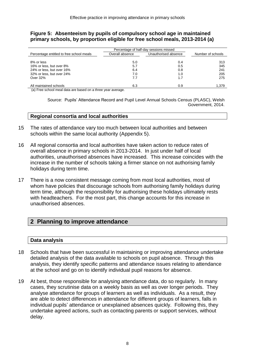#### **Figure 5: Absenteeism by pupils of compulsory school age in maintained primary schools, by proportion eligible for free school meals, 2013-2014 (a)**

|                                                                                                                                                                                                                                                                      | Percentage of half-day sessions missed |                      |                   |  |
|----------------------------------------------------------------------------------------------------------------------------------------------------------------------------------------------------------------------------------------------------------------------|----------------------------------------|----------------------|-------------------|--|
| Percentage entitled to free school meals                                                                                                                                                                                                                             | Overall absence                        | Unauthorised absence | Number of schools |  |
| 8% or less                                                                                                                                                                                                                                                           | 5.0                                    | 0.4                  | 313               |  |
| 16% or less, but over 8%                                                                                                                                                                                                                                             | 5.7                                    | 0.5                  | 345               |  |
| 24% or less, but over 16%                                                                                                                                                                                                                                            | 6.4                                    | 0.8                  | 241               |  |
| 32% or less, but over 24%                                                                                                                                                                                                                                            | 7.0                                    | 1.0                  | 205               |  |
| Over 32%                                                                                                                                                                                                                                                             | 7.7                                    | 1.7                  | 275               |  |
| All maintained schools<br>$\mathbf{A} \times \mathbf{B}$ , and a set of the contract of the contract of the contract of the contract of the contract of the contract of the contract of the contract of the contract of the contract of the contract of the contract | 6.3                                    | 0.9                  | 1,379             |  |

(a) Free school meal data are based on a three year average.

Source: Pupils' Attendance Record and Pupil Level Annual Schools Census (PLASC), Welsh Government, 2014.

#### **Regional consortia and local authorities**

- 15 The rates of attendance vary too much between local authorities and between schools within the same local authority (Appendix 5).
- 16 All regional consortia and local authorities have taken action to reduce rates of overall absence in primary schools in 2013-2014. In just under half of local authorities, unauthorised absences have increased. This increase coincides with the increase in the number of schools taking a firmer stance on not authorising family holidays during term time.
- 17 There is a now consistent message coming from most local authorities, most of whom have policies that discourage schools from authorising family holidays during term time, although the responsibility for authorising these holidays ultimately rests with headteachers. For the most part, this change accounts for this increase in unauthorised absences.

# **2 Planning to improve attendance**

#### **Data analysis**

- 18 Schools that have been successful in maintaining or improving attendance undertake detailed analysis of the data available to schools on pupil absence. Through this analysis, they identify specific patterns and attendance issues relating to attendance at the school and go on to identify individual pupil reasons for absence.
- 19 At best, those responsible for analysing attendance data, do so regularly. In many cases, they scrutinise data on a weekly basis as well as over longer periods. They analyse attendance for groups of learners as well as individuals. As a result, they are able to detect differences in attendance for different groups of learners, falls in individual pupils' attendance or unexplained absences quickly. Following this, they undertake agreed actions, such as contacting parents or support services, without delay.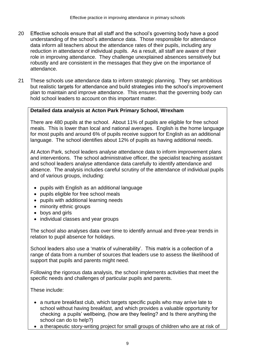- 20 Effective schools ensure that all staff and the school's governing body have a good understanding of the school's attendance data. Those responsible for attendance data inform all teachers about the attendance rates of their pupils, including any reduction in attendance of individual pupils. As a result, all staff are aware of their role in improving attendance. They challenge unexplained absences sensitively but robustly and are consistent in the messages that they give on the importance of attendance.
- 21 These schools use attendance data to inform strategic planning. They set ambitious but realistic targets for attendance and build strategies into the school's improvement plan to maintain and improve attendance. This ensures that the governing body can hold school leaders to account on this important matter.

### **Detailed data analysis at Acton Park Primary School, Wrexham**

There are 480 pupils at the school. About 11% of pupils are eligible for free school meals. This is lower than local and national averages. English is the home language for most pupils and around 6% of pupils receive support for English as an additional language. The school identifies about 12% of pupils as having additional needs.

At Acton Park, school leaders analyse attendance data to inform improvement plans and interventions. The school administrative officer, the specialist teaching assistant and school leaders analyse attendance data carefully to identify attendance and absence. The analysis includes careful scrutiny of the attendance of individual pupils and of various groups, including:

- pupils with English as an additional language
- pupils eligible for free school meals
- pupils with additional learning needs
- minority ethnic groups
- boys and girls
- individual classes and year groups

The school also analyses data over time to identify annual and three-year trends in relation to pupil absence for holidays.

School leaders also use a 'matrix of vulnerability'. This matrix is a collection of a range of data from a number of sources that leaders use to assess the likelihood of support that pupils and parents might need.

Following the rigorous data analysis, the school implements activities that meet the specific needs and challenges of particular pupils and parents.

These include:

- a nurture breakfast club, which targets specific pupils who may arrive late to school without having breakfast, and which provides a valuable opportunity for checking a pupils' wellbeing, (how are they feeling? and Is there anything the school can do to help?)
- a therapeutic story-writing project for small groups of children who are at risk of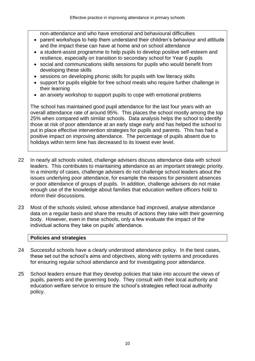non-attendance and who have emotional and behavioural difficulties

- parent workshops to help them understand their children's behaviour and attitude and the impact these can have at home and on school attendance
- a student-assist programme to help pupils to develop positive self-esteem and resilience, especially on transition to secondary school for Year 6 pupils
- social and communications skills sessions for pupils who would benefit from developing these skills
- sessions on developing phonic skills for pupils with low literacy skills
- support for pupils eligible for free school meals who require further challenge in their learning
- an anxiety workshop to support pupils to cope with emotional problems

The school has maintained good pupil attendance for the last four years with an overall attendance rate of around 95%. This places the school mostly among the top 25% when compared with similar schools. Data analysis helps the school to identify those at risk of poor attendance at an early stage early and has helped the school to put in place effective intervention strategies for pupils and parents. This has had a positive impact on improving attendance. The percentage of pupils absent due to holidays within term time has decreased to its lowest ever level.

- 22 In nearly all schools visited, challenge advisers discuss attendance data with school leaders. This contributes to maintaining attendance as an important strategic priority. In a minority of cases, challenge advisers do not challenge school leaders about the issues underlying poor attendance, for example the reasons for persistent absences or poor attendance of groups of pupils. In addition, challenge advisers do not make enough use of the knowledge about families that education welfare officers hold to inform their discussions.
- 23 Most of the schools visited, whose attendance had improved, analyse attendance data on a regular basis and share the results of actions they take with their governing body. However, even in these schools, only a few evaluate the impact of the individual actions they take on pupils' attendance.

### **Policies and strategies**

- 24 Successful schools have a clearly understood attendance policy. In the best cases, these set out the school's aims and objectives, along with systems and procedures for ensuring regular school attendance and for investigating poor attendance.
- 25 School leaders ensure that they develop policies that take into account the views of pupils, parents and the governing body. They consult with their local authority and education welfare service to ensure the school's strategies reflect local authority policy.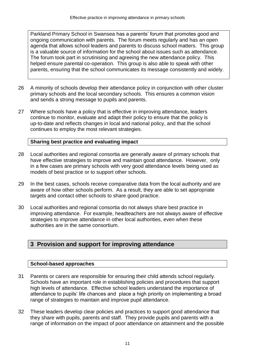Parkland Primary School in Swansea has a parents' forum that promotes good and ongoing communication with parents. The forum meets regularly and has an open agenda that allows school leaders and parents to discuss school matters. This group is a valuable source of information for the school about issues such as attendance. The forum took part in scrutinising and agreeing the new attendance policy. This helped ensure parental co-operation. This group is also able to speak with other parents, ensuring that the school communicates its message consistently and widely.

- 26 A minority of schools develop their attendance policy in conjunction with other cluster primary schools and the local secondary schools. This ensures a common vision and sends a strong message to pupils and parents.
- 27 Where schools have a policy that is effective in improving attendance, leaders continue to monitor, evaluate and adapt their policy to ensure that the policy is up-to-date and reflects changes in local and national policy, and that the school continues to employ the most relevant strategies.

### **Sharing best practice and evaluating impact**

- 28 Local authorities and regional consortia are generally aware of primary schools that have effective strategies to improve and maintain good attendance. However, only in a few cases are primary schools with very good attendance levels being used as models of best practice or to support other schools.
- 29 In the best cases, schools receive comparative data from the local authority and are aware of how other schools perform. As a result, they are able to set appropriate targets and contact other schools to share good practice.
- 30 Local authorities and regional consortia do not always share best practice in improving attendance. For example, headteachers are not always aware of effective strategies to improve attendance in other local authorities, even when these authorities are in the same consortium.

# **3 Provision and support for improving attendance**

### **School-based approaches**

- 31 Parents or carers are responsible for ensuring their child attends school regularly. Schools have an important role in establishing policies and procedures that support high levels of attendance. Effective school leaders understand the importance of attendance to pupils' life chances and place a high priority on implementing a broad range of strategies to maintain and improve pupil attendance.
- 32 These leaders develop clear policies and practices to support good attendance that they share with pupils, parents and staff. They provide pupils and parents with a range of information on the impact of poor attendance on attainment and the possible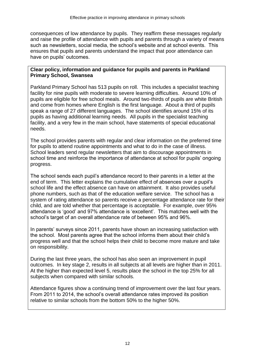consequences of low attendance by pupils. They reaffirm these messages regularly and raise the profile of attendance with pupils and parents through a variety of means such as newsletters, social media, the school's website and at school events. This ensures that pupils and parents understand the impact that poor attendance can have on pupils' outcomes.

#### **Clear policy, information and guidance for pupils and parents in Parkland Primary School, Swansea**

Parkland Primary School has 513 pupils on roll. This includes a specialist teaching facility for nine pupils with moderate to severe learning difficulties. Around 10% of pupils are eligible for free school meals. Around two-thirds of pupils are white British and come from homes where English is the first language. About a third of pupils speak a range of 27 different languages. The school identifies around 15% of its pupils as having additional learning needs. All pupils in the specialist teaching facility, and a very few in the main school, have statements of special educational needs.

The school provides parents with regular and clear information on the preferred time for pupils to attend routine appointments and what to do in the case of illness. School leaders send regular newsletters that aim to discourage appointments in school time and reinforce the importance of attendance at school for pupils' ongoing progress.

The school sends each pupil's attendance record to their parents in a letter at the end of term. This letter explains the cumulative effect of absences over a pupil's school life and the effect absence can have on attainment. It also provides useful phone numbers, such as that of the education welfare service. The school has a system of rating attendance so parents receive a percentage attendance rate for their child, and are told whether that percentage is acceptable. For example, over 95% attendance is 'good' and 97% attendance is 'excellent'. This matches well with the school's target of an overall attendance rate of between 95% and 96%.

In parents' surveys since 2011, parents have shown an increasing satisfaction with the school. Most parents agree that the school informs them about their child's progress well and that the school helps their child to become more mature and take on responsibility.

During the last three years, the school has also seen an improvement in pupil outcomes. In key stage 2, results in all subjects at all levels are higher than in 2011. At the higher than expected level 5, results place the school in the top 25% for all subjects when compared with similar schools.

Attendance figures show a continuing trend of improvement over the last four years. From 2011 to 2014, the school's overall attendance rates improved its position relative to similar schools from the bottom 50% to the higher 50%.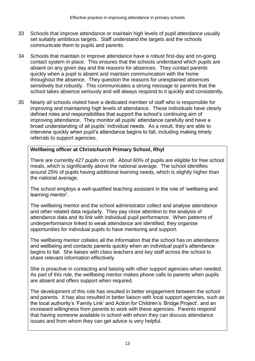- 33 Schools that improve attendance or maintain high levels of pupil attendance usually set suitably ambitious targets. Staff understand the targets and the schools communicate them to pupils and parents.
- 34 Schools that maintain or improve attendance have a robust first-day and on-going contact system in place. This ensures that the schools understand which pupils are absent on any given day and the reasons for absences. They contact parents quickly when a pupil is absent and maintain communication with the home throughout the absence. They question the reasons for unexplained absences sensitively but robustly. This communicates a strong message to parents that the school takes absence seriously and will always respond to it quickly and consistently.
- 35 Nearly all schools visited have a dedicated member of staff who is responsible for improving and maintaining high levels of attendance. These individuals have clearly defined roles and responsibilities that support the school's continuing aim of improving attendance. They monitor all pupils' attendance carefully and have a broad understanding of all pupils' individual needs. As a result, they are able to intervene quickly when pupil's attendance begins to fall, including making timely referrals to support agencies.

### **Wellbeing officer at Christchurch Primary School, Rhyl**

There are currently 427 pupils on roll. About 60% of pupils are eligible for free school meals, which is significantly above the national average. The school identifies around 25% of pupils having additional learning needs, which is slightly higher than the national average.

The school employs a well-qualified teaching assistant in the role of 'wellbeing and learning mentor'.

The wellbeing mentor and the school administrator collect and analyse attendance and other related data regularly. They pay close attention to the analysis of attendance data and its link with individual pupil performance. When patterns of underperformance linked to weak attendance are identified, they organise opportunities for individual pupils to have mentoring and support.

The wellbeing mentor collates all the information that the school has on attendance and wellbeing and contacts parents quickly when an individual pupil's attendance begins to fall. She liaises with class teachers and key staff across the school to share relevant information effectively.

She is proactive in contacting and liaising with other support agencies when needed. As part of this role, the wellbeing mentor makes phone calls to parents when pupils are absent and offers support when required.

The development of this role has resulted in better engagement between the school and parents. It has also resulted in better liaison with local support agencies, such as the local authority's 'Family Link' and Action for Children's 'Bridge Project', and an increased willingness from parents to work with these agencies. Parents respond that having someone available in school with whom they can discuss attendance issues and from whom they can get advice is very helpful.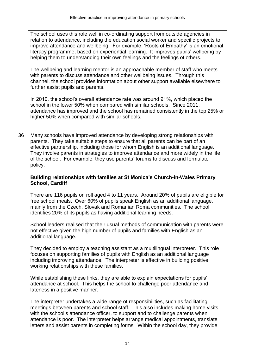The school uses this role well in co-ordinating support from outside agencies in relation to attendance, including the education social worker and specific projects to improve attendance and wellbeing. For example, 'Roots of Empathy' is an emotional literacy programme, based on experiential learning. It improves pupils' wellbeing by helping them to understanding their own feelings and the feelings of others.

The wellbeing and learning mentor is an approachable member of staff who meets with parents to discuss attendance and other wellbeing issues. Through this channel, the school provides information about other support available elsewhere to further assist pupils and parents.

In 2010, the school's overall attendance rate was around 91%, which placed the school in the lower 50% when compared with similar schools. Since 2011, attendance has improved and the school has remained consistently in the top 25% or higher 50% when compared with similar schools.

36 Many schools have improved attendance by developing strong relationships with parents. They take suitable steps to ensure that all parents can be part of an effective partnership, including those for whom English is an additional language. They involve parents in strategies to improve attendance and more widely in the life of the school. For example, they use parents' forums to discuss and formulate policy.

### **Building relationships with families at St Monica's Church-in-Wales Primary School, Cardiff**

There are 116 pupils on roll aged 4 to 11 years. Around 20% of pupils are eligible for free school meals. Over 60% of pupils speak English as an additional language, mainly from the Czech, Slovak and Romanian Roma communities. The school identifies 20% of its pupils as having additional learning needs.

School leaders realised that their usual methods of communication with parents were not effective given the high number of pupils and families with English as an additional language.

They decided to employ a teaching assistant as a multilingual interpreter. This role focuses on supporting families of pupils with English as an additional language including improving attendance. The interpreter is effective in building positive working relationships with these families.

While establishing these links, they are able to explain expectations for pupils' attendance at school. This helps the school to challenge poor attendance and lateness in a positive manner.

The interpreter undertakes a wide range of responsibilities, such as facilitating meetings between parents and school staff. This also includes making home visits with the school's attendance officer, to support and to challenge parents when attendance is poor. The interpreter helps arrange medical appointments, translate letters and assist parents in completing forms. Within the school day, they provide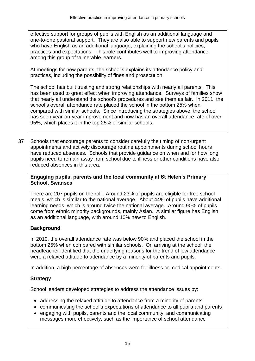effective support for groups of pupils with English as an additional language and one-to-one pastoral support. They are also able to support new parents and pupils who have English as an additional language, explaining the school's policies, practices and expectations. This role contributes well to improving attendance among this group of vulnerable learners.

At meetings for new parents, the school's explains its attendance policy and practices, including the possibility of fines and prosecution.

The school has built trusting and strong relationships with nearly all parents. This has been used to great effect when improving attendance. Surveys of families show that nearly all understand the school's procedures and see them as fair. In 2011, the school's overall attendance rate placed the school in the bottom 25% when compared with similar schools. Since introducing the strategies above, the school has seen year-on-year improvement and now has an overall attendance rate of over 95%, which places it in the top 25% of similar schools.

37 Schools that encourage parents to consider carefully the timing of non-urgent appointments and actively discourage routine appointments during school hours have reduced absences. Schools that provide guidance on when and for how long pupils need to remain away from school due to illness or other conditions have also reduced absences in this area.

#### **Engaging pupils, parents and the local community at St Helen's Primary School, Swansea**

There are 207 pupils on the roll. Around 23% of pupils are eligible for free school meals, which is similar to the national average. About 44% of pupils have additional learning needs, which is around twice the national average. Around 90% of pupils come from ethnic minority backgrounds, mainly Asian. A similar figure has English as an additional language, with around 10% new to English.

### **Background**

In 2010, the overall attendance rate was below 90% and placed the school in the bottom 25% when compared with similar schools. On arriving at the school, the headteacher identified that the underlying reasons for the trend of low attendance were a relaxed attitude to attendance by a minority of parents and pupils.

In addition, a high percentage of absences were for illness or medical appointments.

### **Strategy**

School leaders developed strategies to address the attendance issues by:

- addressing the relaxed attitude to attendance from a minority of parents
- communicating the school's expectations of attendance to all pupils and parents
- engaging with pupils, parents and the local community, and communicating messages more effectively, such as the importance of school attendance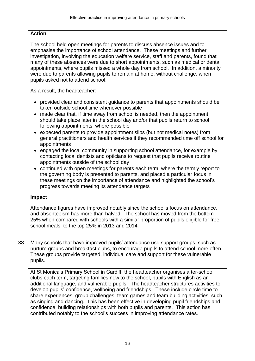### **Action**

The school held open meetings for parents to discuss absence issues and to emphasise the importance of school attendance. These meetings and further investigation, involving the education welfare service, staff and parents, found that many of these absences were due to short appointments, such as medical or dental appointments, where pupils missed a whole day from school. In addition, a minority were due to parents allowing pupils to remain at home, without challenge, when pupils asked not to attend school.

As a result, the headteacher:

- provided clear and consistent guidance to parents that appointments should be taken outside school time whenever possible
- made clear that, if time away from school is needed, then the appointment should take place later in the school day and/or that pupils return to school following appointments, where possible
- expected parents to provide appointment slips (but not medical notes) from general practitioners and health services if they recommended time off school for appointments
- engaged the local community in supporting school attendance, for example by contacting local dentists and opticians to request that pupils receive routine appointments outside of the school day
- continued with open meetings for parents each term, where the termly report to the governing body is presented to parents, and placed a particular focus in these meetings on the importance of attendance and highlighted the school's progress towards meeting its attendance targets

### **Impact**

Attendance figures have improved notably since the school's focus on attendance, and absenteeism has more than halved. The school has moved from the bottom 25% when compared with schools with a similar proportion of pupils eligible for free school meals, to the top 25% in 2013 and 2014.

38 Many schools that have improved pupils' attendance use support groups, such as nurture groups and breakfast clubs, to encourage pupils to attend school more often. These groups provide targeted, individual care and support for these vulnerable pupils.

At St Monica's Primary School in Cardiff, the headteacher organises after-school clubs each term, targeting families new to the school, pupils with English as an additional language, and vulnerable pupils. The headteacher structures activities to develop pupils' confidence, wellbeing and friendships. These include circle time to share experiences, group challenges, team games and team building activities, such as singing and dancing. This has been effective in developing pupil friendships and confidence, building relationships with both pupils and parents. This action has contributed notably to the school's success in improving attendance rates.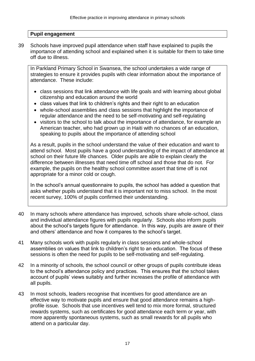#### **Pupil engagement**

39 Schools have improved pupil attendance when staff have explained to pupils the importance of attending school and explained when it is suitable for them to take time off due to illness.

In Parkland Primary School in Swansea, the school undertakes a wide range of strategies to ensure it provides pupils with clear information about the importance of attendance. These include:

- class sessions that link attendance with life goals and with learning about global citizenship and education around the world
- class values that link to children's rights and their right to an education
- whole-school assemblies and class sessions that highlight the importance of regular attendance and the need to be self-motivating and self-regulating
- visitors to the school to talk about the importance of attendance, for example an American teacher, who had grown up in Haiti with no chances of an education, speaking to pupils about the importance of attending school

As a result, pupils in the school understand the value of their education and want to attend school. Most pupils have a good understanding of the impact of attendance at school on their future life chances. Older pupils are able to explain clearly the difference between illnesses that need time off school and those that do not. For example, the pupils on the healthy school committee assert that time off is not appropriate for a minor cold or cough.

In the school's annual questionnaire to pupils, the school has added a question that asks whether pupils understand that it is important not to miss school. In the most recent survey, 100% of pupils confirmed their understanding.

- 40 In many schools where attendance has improved, schools share whole-school, class and individual attendance figures with pupils regularly. Schools also inform pupils about the school's targets figure for attendance. In this way, pupils are aware of their and others' attendance and how it compares to the school's target.
- 41 Many schools work with pupils regularly in class sessions and whole-school assemblies on values that link to children's right to an education. The focus of these sessions is often the need for pupils to be self-motivating and self-regulating.
- 42 In a minority of schools, the school council or other groups of pupils contribute ideas to the school's attendance policy and practices. This ensures that the school takes account of pupils' views suitably and further increases the profile of attendance with all pupils.
- 43 In most schools, leaders recognise that incentives for good attendance are an effective way to motivate pupils and ensure that good attendance remains a highprofile issue. Schools that use incentives well tend to mix more formal, structured rewards systems, such as certificates for good attendance each term or year, with more apparently spontaneous systems, such as small rewards for all pupils who attend on a particular day.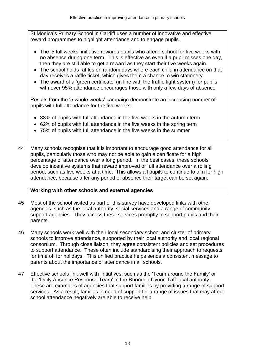St Monica's Primary School in Cardiff uses a number of innovative and effective reward programmes to highlight attendance and to engage pupils.

- The '5 full weeks' initiative rewards pupils who attend school for five weeks with no absence during one term. This is effective as even if a pupil misses one day, then they are still able to get a reward as they start their five weeks again.
- The school holds raffles on random days where each child in attendance on that day receives a raffle ticket, which gives them a chance to win stationery.
- The award of a 'green certificate' (in line with the traffic-light system) for pupils with over 95% attendance encourages those with only a few days of absence.

Results from the '5 whole weeks' campaign demonstrate an increasing number of pupils with full attendance for the five weeks:

- 38% of pupils with full attendance in the five weeks in the autumn term
- 62% of pupils with full attendance in the five weeks in the spring term
- 75% of pupils with full attendance in the five weeks in the summer
- 44 Many schools recognise that it is important to encourage good attendance for all pupils, particularly those who may not be able to gain a certificate for a high percentage of attendance over a long period. In the best cases, these schools develop incentive systems that reward improved or full attendance over a rolling period, such as five weeks at a time. This allows all pupils to continue to aim for high attendance, because after any period of absence their target can be set again.

### **Working with other schools and external agencies**

- 45 Most of the school visited as part of this survey have developed links with other agencies, such as the local authority, social services and a range of community support agencies. They access these services promptly to support pupils and their parents.
- 46 Many schools work well with their local secondary school and cluster of primary schools to improve attendance, supported by their local authority and local regional consortium. Through close liaison, they agree consistent policies and set procedures to support attendance. These often include standardising their approach to requests for time off for holidays. This unified practice helps sends a consistent message to parents about the importance of attendance in all schools.
- 47 Effective schools link well with initiatives, such as the 'Team around the Family' or the 'Daily Absence Response Team' in the Rhondda Cynon Taff local authority. These are examples of agencies that support families by providing a range of support services. As a result, families in need of support for a range of issues that may affect school attendance negatively are able to receive help.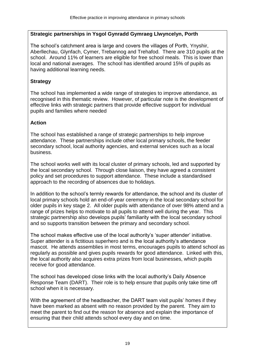### **Strategic partnerships in Ysgol Gynradd Gymraeg Llwyncelyn, Porth**

The school's catchment area is large and covers the villages of Porth, Ynyshir, Aberllechau, Glynfach, Cymer, Trebannog and Trehafod. There are 310 pupils at the school. Around 11% of learners are eligible for free school meals. This is lower than local and national averages. The school has identified around 15% of pupils as having additional learning needs.

### **Strategy**

The school has implemented a wide range of strategies to improve attendance, as recognised in this thematic review. However, of particular note is the development of effective links with strategic partners that provide effective support for individual pupils and families where needed

### **Action**

The school has established a range of strategic partnerships to help improve attendance. These partnerships include other local primary schools, the feeder secondary school, local authority agencies, and external services such as a local business.

The school works well with its local cluster of primary schools, led and supported by the local secondary school. Through close liaison, they have agreed a consistent policy and set procedures to support attendance. These include a standardised approach to the recording of absences due to holidays.

In addition to the school's termly rewards for attendance, the school and its cluster of local primary schools hold an end-of-year ceremony in the local secondary school for older pupils in key stage 2. All older pupils with attendance of over 98% attend and a range of prizes helps to motivate to all pupils to attend well during the year. This strategic partnership also develops pupils' familiarity with the local secondary school and so supports transition between the primary and secondary school.

The school makes effective use of the local authority's 'super attender' initiative. Super attender is a fictitious superhero and is the local authority's attendance mascot. He attends assemblies in most terms, encourages pupils to attend school as regularly as possible and gives pupils rewards for good attendance. Linked with this, the local authority also acquires extra prizes from local businesses, which pupils receive for good attendance.

The school has developed close links with the local authority's Daily Absence Response Team (DART). Their role is to help ensure that pupils only take time off school when it is necessary.

With the agreement of the headteacher, the DART team visit pupils' homes if they have been marked as absent with no reason provided by the parent. They aim to meet the parent to find out the reason for absence and explain the importance of ensuring that their child attends school every day and on time.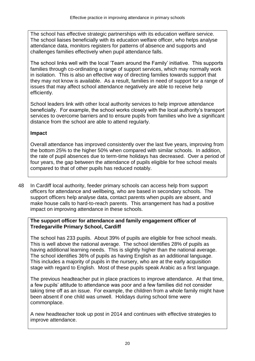The school has effective strategic partnerships with its education welfare service. The school liaises beneficially with its education welfare officer, who helps analyse attendance data, monitors registers for patterns of absence and supports and challenges families effectively when pupil attendance falls.

The school links well with the local 'Team around the Family' initiative. This supports families through co-ordinating a range of support services, which may normally work in isolation. This is also an effective way of directing families towards support that they may not know is available. As a result, families in need of support for a range of issues that may affect school attendance negatively are able to receive help efficiently.

School leaders link with other local authority services to help improve attendance beneficially. For example, the school works closely with the local authority's transport services to overcome barriers and to ensure pupils from families who live a significant distance from the school are able to attend regularly.

### **Impact**

Overall attendance has improved consistently over the last five years, improving from the bottom 25% to the higher 50% when compared with similar schools. In addition, the rate of pupil absences due to term-time holidays has decreased. Over a period of four years, the gap between the attendance of pupils eligible for free school meals compared to that of other pupils has reduced notably.

48 In Cardiff local authority, feeder primary schools can access help from support officers for attendance and wellbeing, who are based in secondary schools. The support officers help analyse data, contact parents when pupils are absent, and make house calls to hard-to-reach parents. This arrangement has had a positive impact on improving attendance in these schools.

### **The support officer for attendance and family engagement officer of Tredegarville Primary School, Cardiff**

The school has 233 pupils. About 39% of pupils are eligible for free school meals. This is well above the national average. The school identifies 28% of pupils as having additional learning needs. This is slightly higher than the national average. The school identifies 36% of pupils as having English as an additional language. This includes a majority of pupils in the nursery, who are at the early acquisition stage with regard to English. Most of these pupils speak Arabic as a first language.

The previous headteacher put in place practices to improve attendance. At that time, a few pupils' attitude to attendance was poor and a few families did not consider taking time off as an issue. For example, the children from a whole family might have been absent if one child was unwell. Holidays during school time were commonplace.

A new headteacher took up post in 2014 and continues with effective strategies to improve attendance.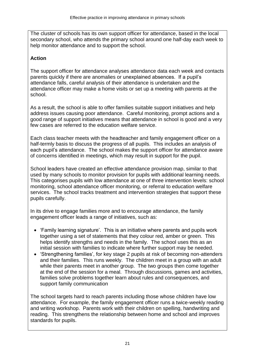The cluster of schools has its own support officer for attendance, based in the local secondary school, who attends the primary school around one half-day each week to help monitor attendance and to support the school.

# **Action**

The support officer for attendance analyses attendance data each week and contacts parents quickly if there are anomalies or unexplained absences. If a pupil's attendance falls, careful analysis of their attendance is undertaken and the attendance officer may make a home visits or set up a meeting with parents at the school.

As a result, the school is able to offer families suitable support initiatives and help address issues causing poor attendance. Careful monitoring, prompt actions and a good range of support initiatives means that attendance in school is good and a very few cases are referred to the education welfare service.

Each class teacher meets with the headteacher and family engagement officer on a half-termly basis to discuss the progress of all pupils. This includes an analysis of each pupil's attendance. The school makes the support officer for attendance aware of concerns identified in meetings, which may result in support for the pupil.

School leaders have created an effective attendance provision map, similar to that used by many schools to monitor provision for pupils with additional learning needs. This categorises pupils with low attendance at one of three intervention levels: school monitoring, school attendance officer monitoring, or referral to education welfare services. The school tracks treatment and intervention strategies that support these pupils carefully.

In its drive to engage families more and to encourage attendance, the family engagement officer leads a range of initiatives, such as:

- 'Family learning signature'. This is an initiative where parents and pupils work together using a set of statements that they colour red, amber or green. This helps identify strengths and needs in the family. The school uses this as an initial session with families to indicate where further support may be needed.
- 'Strengthening families', for key stage 2 pupils at risk of becoming non-attenders and their families. This runs weekly. The children meet in a group with an adult while their parents meet in another group. The two groups then come together at the end of the session for a meal. Through discussions, games and activities, families solve problems together learn about rules and consequences, and support family communication

The school targets hard to reach parents including those whose children have low attendance. For example, the family engagement officer runs a twice-weekly reading and writing workshop. Parents work with their children on spelling, handwriting and reading. This strengthens the relationship between home and school and improves standards for pupils.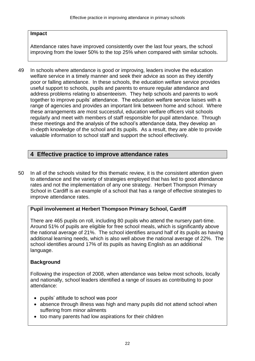#### **Impact**

Attendance rates have improved consistently over the last four years, the school improving from the lower 50% to the top 25% when compared with similar schools.

49 In schools where attendance is good or improving, leaders involve the education welfare service in a timely manner and seek their advice as soon as they identify poor or falling attendance. In these schools, the education welfare service provides useful support to schools, pupils and parents to ensure regular attendance and address problems relating to absenteeism. They help schools and parents to work together to improve pupils' attendance. The education welfare service liaises with a range of agencies and provides an important link between home and school. Where these arrangements are most successful, education welfare officers visit schools regularly and meet with members of staff responsible for pupil attendance. Through these meetings and the analysis of the school's attendance data, they develop an in-depth knowledge of the school and its pupils. As a result, they are able to provide valuable information to school staff and support the school effectively.

# **4 Effective practice to improve attendance rates**

50 In all of the schools visited for this thematic review, it is the consistent attention given to attendance and the variety of strategies employed that has led to good attendance rates and not the implementation of any one strategy. Herbert Thompson Primary School in Cardiff is an example of a school that has a range of effective strategies to improve attendance rates.

### **Pupil involvement at Herbert Thompson Primary School, Cardiff**

There are 465 pupils on roll, including 80 pupils who attend the nursery part-time. Around 51% of pupils are eligible for free school meals, which is significantly above the national average of 21%. The school identifies around half of its pupils as having additional learning needs, which is also well above the national average of 22%. The school identifies around 17% of its pupils as having English as an additional language.

### **Background**

Following the inspection of 2008, when attendance was below most schools, locally and nationally, school leaders identified a range of issues as contributing to poor attendance:

- pupils' attitude to school was poor
- absence through illness was high and many pupils did not attend school when suffering from minor ailments
- too many parents had low aspirations for their children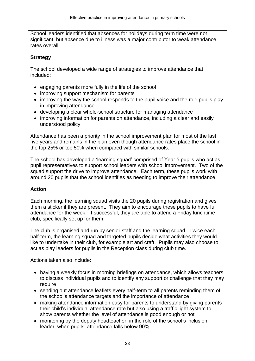School leaders identified that absences for holidays during term time were not significant, but absence due to illness was a major contributor to weak attendance rates overall.

### **Strategy**

The school developed a wide range of strategies to improve attendance that included:

- engaging parents more fully in the life of the school
- improving support mechanism for parents
- improving the way the school responds to the pupil voice and the role pupils play in improving attendance
- developing a clear whole-school structure for managing attendance
- improving information for parents on attendance, including a clear and easily understood policy

Attendance has been a priority in the school improvement plan for most of the last five years and remains in the plan even though attendance rates place the school in the top 25% or top 50% when compared with similar schools.

The school has developed a 'learning squad' comprised of Year 5 pupils who act as pupil representatives to support school leaders with school improvement. Two of the squad support the drive to improve attendance. Each term, these pupils work with around 20 pupils that the school identifies as needing to improve their attendance.

### **Action**

Each morning, the learning squad visits the 20 pupils during registration and gives them a sticker if they are present. They aim to encourage these pupils to have full attendance for the week. If successful, they are able to attend a Friday lunchtime club, specifically set up for them.

The club is organised and run by senior staff and the learning squad. Twice each half-term, the learning squad and targeted pupils decide what activities they would like to undertake in their club, for example art and craft. Pupils may also choose to act as play leaders for pupils in the Reception class during club time.

Actions taken also include:

- having a weekly focus in morning briefings on attendance, which allows teachers to discuss individual pupils and to identify any support or challenge that they may require
- sending out attendance leaflets every half-term to all parents reminding them of the school's attendance targets and the importance of attendance
- making attendance information easy for parents to understand by giving parents their child's individual attendance rate but also using a traffic light system to show parents whether the level of attendance is good enough or not
- monitoring by the deputy headteacher, in the role of the school's inclusion leader, when pupils' attendance falls below 90%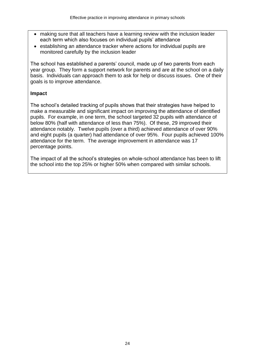- making sure that all teachers have a learning review with the inclusion leader each term which also focuses on individual pupils' attendance
- establishing an attendance tracker where actions for individual pupils are monitored carefully by the inclusion leader

The school has established a parents' council, made up of two parents from each year group. They form a support network for parents and are at the school on a daily basis. Individuals can approach them to ask for help or discuss issues. One of their goals is to improve attendance.

### **Impact**

The school's detailed tracking of pupils shows that their strategies have helped to make a measurable and significant impact on improving the attendance of identified pupils. For example, in one term, the school targeted 32 pupils with attendance of below 80% (half with attendance of less than 75%). Of these, 29 improved their attendance notably. Twelve pupils (over a third) achieved attendance of over 90% and eight pupils (a quarter) had attendance of over 95%. Four pupils achieved 100% attendance for the term. The average improvement in attendance was 17 percentage points.

The impact of all the school's strategies on whole-school attendance has been to lift the school into the top 25% or higher 50% when compared with similar schools.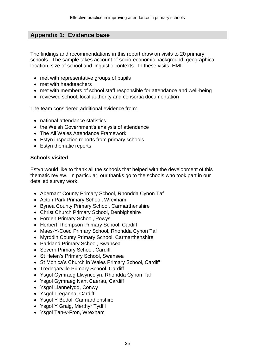# **Appendix 1: Evidence base**

The findings and recommendations in this report draw on visits to 20 primary schools. The sample takes account of socio-economic background, geographical location, size of school and linguistic contexts. In these visits, HMI:

- met with representative groups of pupils
- met with headteachers
- met with members of school staff responsible for attendance and well-being
- reviewed school, local authority and consortia documentation

The team considered additional evidence from:

- national attendance statistics
- the Welsh Government's analysis of attendance
- The All Wales Attendance Framework
- Estyn inspection reports from primary schools
- Estyn thematic reports

### **Schools visited**

Estyn would like to thank all the schools that helped with the development of this thematic review. In particular, our thanks go to the schools who took part in our detailed survey work:

- Abernant County Primary School, Rhondda Cynon Taf
- Acton Park Primary School, Wrexham
- Bynea County Primary School, Carmarthenshire
- Christ Church Primary School, Denbighshire
- Forden Primary School, Powys
- Herbert Thompson Primary School, Cardiff
- Maes-Y-Coed Primary School, Rhondda Cynon Taf
- Myrddin County Primary School, Carmarthenshire
- Parkland Primary School, Swansea
- Severn Primary School, Cardiff
- St Helen's Primary School, Swansea
- St Monica's Church in Wales Primary School, Cardiff
- Tredegarville Primary School, Cardiff
- Ysgol Gymraeg Llwyncelyn, Rhondda Cynon Taf
- Ysgol Gymraeg Nant Caerau, Cardiff
- Ysgol Llannefydd, Conwy
- Ysgol Treganna, Cardiff
- Ysgol Y Bedol, Carmarthenshire
- Ysgol Y Graig, Merthyr Tydfil
- Ysgol Tan-y-Fron, Wrexham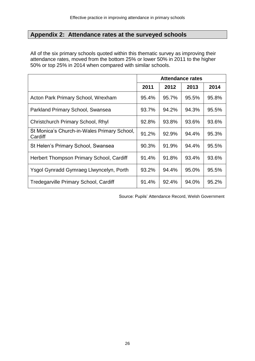# **Appendix 2: Attendance rates at the surveyed schools**

All of the six primary schools quoted within this thematic survey as improving their attendance rates, moved from the bottom 25% or lower 50% in 2011 to the higher 50% or top 25% in 2014 when compared with similar schools.

|                                                        | <b>Attendance rates</b> |       |       |       |
|--------------------------------------------------------|-------------------------|-------|-------|-------|
|                                                        | 2011                    | 2012  | 2013  | 2014  |
| Acton Park Primary School, Wrexham                     | 95.4%                   | 95.7% | 95.5% | 95.8% |
| Parkland Primary School, Swansea                       | 93.7%                   | 94.2% | 94.3% | 95.5% |
| Christchurch Primary School, Rhyl                      | 92.8%                   | 93.8% | 93.6% | 93.6% |
| St Monica's Church-in-Wales Primary School,<br>Cardiff | 91.2%                   | 92.9% | 94.4% | 95.3% |
| St Helen's Primary School, Swansea                     | 90.3%                   | 91.9% | 94.4% | 95.5% |
| Herbert Thompson Primary School, Cardiff               | 91.4%                   | 91.8% | 93.4% | 93.6% |
| Ysgol Gynradd Gymraeg Llwyncelyn, Porth                | 93.2%                   | 94.4% | 95.0% | 95.5% |
| Tredegarville Primary School, Cardiff                  | 91.4%                   | 92.4% | 94.0% | 95.2% |

Source: Pupils' Attendance Record, Welsh Government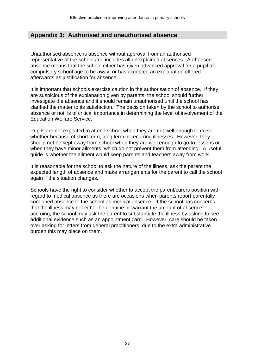### **Appendix 3: Authorised and unauthorised absence**

Unauthorised absence is absence without approval from an authorised representative of the school and includes all unexplained absences. Authorised absence means that the school either has given advanced approval for a pupil of compulsory school age to be away, or has accepted an explanation offered afterwards as justification for absence.

It is important that schools exercise caution in the authorisation of absence. If they are suspicious of the explanation given by parents, the school should further investigate the absence and it should remain unauthorised until the school has clarified the matter to its satisfaction. The decision taken by the school to authorise absence or not, is of critical importance in determining the level of involvement of the Education Welfare Service.

Pupils are not expected to attend school when they are not well enough to do so whether because of short term, long term or recurring illnesses. However, they should not be kept away from school when they are well enough to go to lessons or when they have minor ailments, which do not prevent them from attending. A useful guide is whether the ailment would keep parents and teachers away from work.

It is reasonable for the school to ask the nature of the illness, ask the parent the expected length of absence and make arrangements for the parent to call the school again if the situation changes.

Schools have the right to consider whether to accept the parent/carers position with regard to medical absence as there are occasions when parents report parentally condoned absence to the school as medical absence. If the school has concerns that the illness may not either be genuine or warrant the amount of absence accruing, the school may ask the parent to substantiate the illness by asking to see additional evidence such as an appointment card. However, care should be taken over asking for letters from general practitioners, due to the extra administrative burden this may place on them.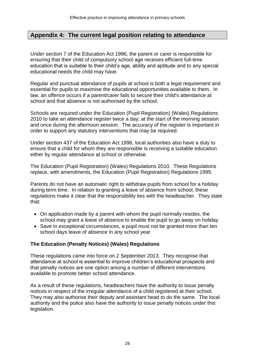### **Appendix 4: The current legal position relating to attendance**

Under section 7 of the Education Act 1996, the parent or carer is responsible for ensuring that their child of compulsory school age receives efficient full-time education that is suitable to their child's age, ability and aptitude and to any special educational needs the child may have.

Regular and punctual attendance of pupils at school is both a legal requirement and essential for pupils to maximise the educational opportunities available to them. In law, an offence occurs if a parent/carer fails to secure their child's attendance at school and that absence is not authorised by the school.

Schools are required under the Education (Pupil Registration) (Wales) Regulations 2010 to take an attendance register twice a day; at the start of the morning session and once during the afternoon session. The accuracy of the register is important in order to support any statutory interventions that may be required.

Under section 437 of the Education Act 1996, local authorities also have a duty to ensure that a child for whom they are responsible is receiving a suitable education either by regular attendance at school or otherwise.

The Education (Pupil Registration) (Wales) Regulations 2010. These Regulations replace, with amendments, the Education (Pupil Registration) Regulations 1995.

Parents do not have an automatic right to withdraw pupils from school for a holiday during term time. In relation to granting a leave of absence from school, these regulations make it clear that the responsibility lies with the headteacher. They state that:

- On application made by a parent with whom the pupil normally resides, the school may grant a leave of absence to enable the pupil to go away on holiday
- Save in exceptional circumstances, a pupil must not be granted more than ten school days leave of absence in any school year

#### **The Education (Penalty Notices) (Wales) Regulations**

These regulations came into force on 2 September 2013. They recognise that attendance at school is essential to improve children's educational prospects and that penalty notices are one option among a number of different interventions available to promote better school attendance.

As a result of these regulations, headteachers have the authority to issue penalty notices in respect of the irregular attendance of a child registered at their school. They may also authorise their deputy and assistant head to do the same. The local authority and the police also have the authority to issue penalty notices under this legislation.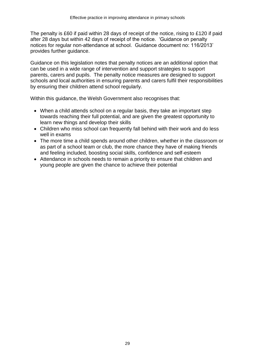The penalty is £60 if paid within 28 days of receipt of the notice, rising to £120 if paid after 28 days but within 42 days of receipt of the notice. 'Guidance on penalty notices for regular non-attendance at school. Guidance document no: 116/2013' provides further guidance.

Guidance on this legislation notes that penalty notices are an additional option that can be used in a wide range of intervention and support strategies to support parents, carers and pupils. The penalty notice measures are designed to support schools and local authorities in ensuring parents and carers fulfil their responsibilities by ensuring their children attend school regularly.

Within this guidance, the Welsh Government also recognises that:

- When a child attends school on a regular basis, they take an important step towards reaching their full potential, and are given the greatest opportunity to learn new things and develop their skills
- Children who miss school can frequently fall behind with their work and do less well in exams
- The more time a child spends around other children, whether in the classroom or as part of a school team or club, the more chance they have of making friends and feeling included, boosting social skills, confidence and self-esteem
- Attendance in schools needs to remain a priority to ensure that children and young people are given the chance to achieve their potential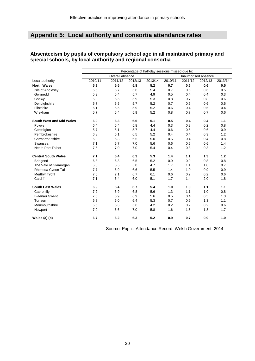# **Appendix 5: Local authority and consortia attendance rates**

|                                 | Percentage of half-day sessions missed due to: |                 |         |         |         |                      |         |         |
|---------------------------------|------------------------------------------------|-----------------|---------|---------|---------|----------------------|---------|---------|
|                                 |                                                | Overall absence |         |         |         | Unauthorised absence |         |         |
| Local authority                 | 2010/11                                        | 2011/12         | 2012/13 | 2013/14 | 2010/11 | 2011/12              | 2012/13 | 2013/14 |
| <b>North Wales</b>              | 5.9                                            | 5.5             | 5.8     | 5.2     | 0.7     | 0.6                  | 0.6     | 0.5     |
| Isle of Anglesey                | 6.5                                            | 5.7             | 5.6     | 5.4     | 0.7     | 0.6                  | 0.6     | 0.5     |
| Gwynedd                         | 5.9                                            | 5.4             | 5.7     | 4.9     | 0.5     | 0.4                  | 0.4     | 0.3     |
| Conwy                           | 5.8                                            | 5.5             | 5.9     | 5.3     | 0.8     | 0.7                  | 0.8     | 0.6     |
| Denbighshire                    | 5.7                                            | 5.5             | 5.7     | 5.2     | 0.7     | 0.6                  | 0.6     | 0.5     |
| Flintshire                      | 6.1                                            | 5.5             | 5.9     | 5.2     | 0.6     | 0.4                  | 0.5     | 0.4     |
| Wrexham                         | 5.7                                            | 5.4             | 5.9     | 5.2     | 0.8     | 0.7                  | 0.7     | 0.6     |
| <b>South West and Mid Wales</b> | 6.9                                            | 6.3             | 6.6     | 5.1     | 0.5     | 0.4                  | 0.4     | 1.1     |
| Powys                           | 6.4                                            | 5.4             | 5.8     | 4.4     | 0.3     | 0.2                  | 0.2     | 0.8     |
| Ceredigion                      | 5.7                                            | 5.1             | 5.7     | 4.4     | 0.6     | 0.5                  | 0.6     | 0.9     |
| Pembrokeshire                   | 6.8                                            | 6.1             | 6.5     | 5.2     | 0.4     | 0.4                  | 0.3     | 1.2     |
| Carmarthenshire                 | 6.9                                            | 6.3             | 6.5     | 5.0     | 0.5     | 0.4                  | 0.4     | 0.8     |
| Swansea                         | 7.1                                            | 6.7             | 7.0     | 5.6     | 0.6     | 0.5                  | 0.6     | 1.4     |
| <b>Neath Port Talbot</b>        | 7.5                                            | 7.0             | 7.0     | 5.4     | 0.4     | 0.3                  | 0.3     | 1.2     |
| <b>Central South Wales</b>      | 7.1                                            | 6.4             | 6.3     | 5.3     | 1.4     | 1.1                  | 1.3     | 1.2     |
| <b>Bridgend</b>                 | 6.8                                            | 6.3             | 6.5     | 5.2     | 0.9     | 0.9                  | 0.8     | 0.8     |
| The Vale of Glamorgan           | 6.3                                            | 5.5             | 5.8     | 4.7     | 1.7     | 1.1                  | 1.0     | 0.7     |
| Rhondda Cynon Taf               | 7.7                                            | 6.9             | 6.6     | 5.5     | 1.4     | 1.0                  | 0.9     | 0.9     |
| Merthyr Tydfil                  | 7.6                                            | 7.1             | 6.7     | 6.1     | 0.6     | 0.2                  | 0.2     | 0.6     |
| Cardiff                         | 7.1                                            | 6.4             | 6.0     | 5.1     | 1.7     | 1.4                  | 2.0     | 1.8     |
| <b>South East Wales</b>         | 6.9                                            | 6.4             | 6.7     | 5.4     | 1.0     | 1.0                  | 1.1     | 1.1     |
| Caerphilly                      | 7.2                                            | 6.9             | 6.8     | 5.6     | 1.3     | 1.1                  | 1.0     | 0.8     |
| <b>Blaenau Gwent</b>            | 7.5                                            | 6.9             | 6.9     | 5.6     | 0.5     | 0.4                  | 0.5     | 1.3     |
| Torfaen                         | 6.8                                            | 6.0             | 6.4     | 5.3     | 0.7     | 0.9                  | 1.3     | 1.1     |
| Monmouthshire                   | 5.6                                            | 5.3             | 5.6     | 4.2     | 0.2     | 0.2                  | 0.2     | 0.6     |
| Newport                         | 7.0                                            | 6.6             | 7.0     | 5.8     | 1.6     | 1.5                  | 1.8     | 1.7     |
| Wales (a) (b)                   | 6.7                                            | 6.2             | 6.3     | 5.2     | 0.9     | 0.7                  | 0.9     | 1.0     |

### **Absenteeism by pupils of compulsory school age in all maintained primary and special schools, by local authority and regional consortia**

Source: Pupils' Attendance Record, Welsh Government, 2014.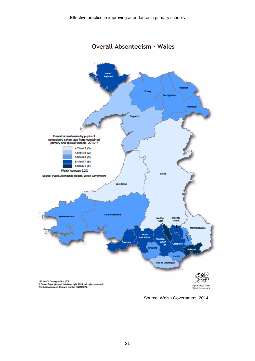Overall Absenteeism - Wales



Source: Welsh Government, 2014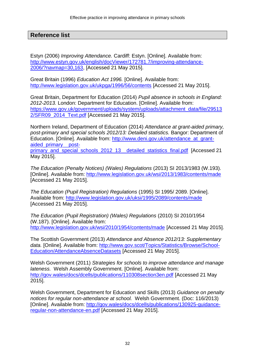### **Reference list**

Estyn (2006) *Improving Attendance.* Cardiff: Estyn. [Online]. Available from: [http://www.estyn.gov.uk/english/docViewer/172781.7/improving-attendance-](http://www.estyn.gov.uk/english/docViewer/172781.7/improving-attendance-2006/?navmap=30,163)[2006/?navmap=30,163,](http://www.estyn.gov.uk/english/docViewer/172781.7/improving-attendance-2006/?navmap=30,163) [Accessed 21 May 2015].

Great Britain (1996) *Education Act 1996.* [Online]. Available from: <http://www.legislation.gov.uk/ukpga/1996/56/contents> [Accessed 21 May 2015].

Great Britain, Department for Education (2014) *Pupil absence in schools in England: 2012-2013.* London: Department for Education. [Online]. Available from: [https://www.gov.uk/government/uploads/system/uploads/attachment\\_data/file/29513](https://www.gov.uk/government/uploads/system/uploads/attachment_data/file/295132/SFR09_2014_Text.pdf) [2/SFR09\\_2014\\_Text.pdf](https://www.gov.uk/government/uploads/system/uploads/attachment_data/file/295132/SFR09_2014_Text.pdf) [Accessed 21 May 2015].

Northern Ireland, Department of Education (2014) *Attendance at grant-aided primary, post-primary and special schools 2012/13: Detailed statistics.* Bangor: Department of Education. [Online]. Available from: [http://www.deni.gov.uk/attendance\\_at\\_grant](http://www.deni.gov.uk/attendance_at_grant-aided_primary__post-primary_and_special_schools_2012_13__detailed_statistics_final.pdf)[aided\\_primary\\_\\_post-](http://www.deni.gov.uk/attendance_at_grant-aided_primary__post-primary_and_special_schools_2012_13__detailed_statistics_final.pdf)

primary and special schools 2012 13 detailed statistics final.pdf [Accessed 21 May 2015].

*The Education (Penalty Notices) (Wales) Regulations* (2013) SI 2013/1983 (W.193). [Online]. Available from:<http://www.legislation.gov.uk/wsi/2013/1983/contents/made> [Accessed 21 May 2015].

*The Education (Pupil Registration) Regulations* (1995) SI 1995/ 2089. [Online]. Available from:<http://www.legislation.gov.uk/uksi/1995/2089/contents/made> [Accessed 21 May 2015].

*The Education (Pupil Registration) (Wales) Regulations* (2010) SI 2010/1954 (W.187). [Online]. Available from: <http://www.legislation.gov.uk/wsi/2010/1954/contents/made> [Accessed 21 May 2015].

The Scottish Government (2013) *Attendance and Absence 2012/13: Supplementary*  data. [Online]. Available from: [http://www.gov.scot/Topics/Statistics/Browse/School-](http://www.gov.scot/Topics/Statistics/Browse/School-Education/AttendanceAbsenceDatasets)[Education/AttendanceAbsenceDatasets](http://www.gov.scot/Topics/Statistics/Browse/School-Education/AttendanceAbsenceDatasets) [Accessed 21 May 2015].

Welsh Government (2011) *Strategies for schools to improve attendance and manage lateness.* Welsh Assembly Government. [Online]. Available from: <http://gov.wales/docs/dcells/publications/110308section3en.pdf> [Accessed 21 May 2015].

Welsh Government, Department for Education and Skills (2013) *Guidance on penalty notices for regular non-attendance at school.* Welsh Government. (Doc: 116/2013) [Online]. Available from: [http://gov.wales/docs/dcells/publications/130925-guidance](http://gov.wales/docs/dcells/publications/130925-guidance-regular-non-attendance-en.pdf)[regular-non-attendance-en.pdf](http://gov.wales/docs/dcells/publications/130925-guidance-regular-non-attendance-en.pdf) [Accessed 21 May 2015].